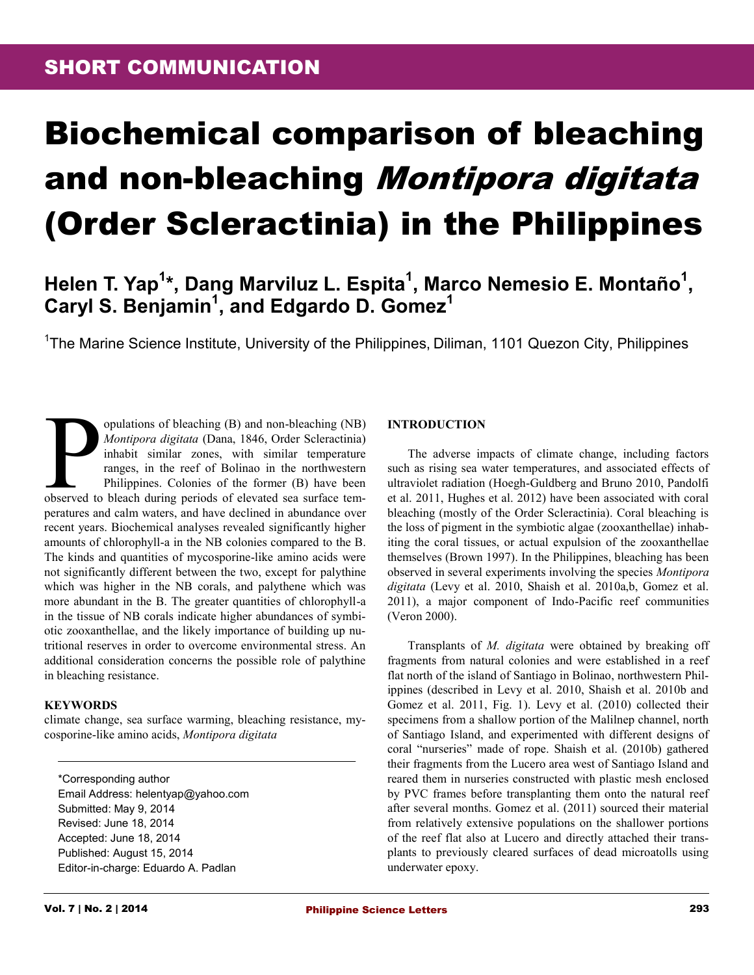# Biochemical comparison of bleaching and non-bleaching Montipora digitata (Order Scleractinia) in the Philippines

# **Helen T. Yap<sup>1</sup> \*, Dang Marviluz L. Espita<sup>1</sup> , Marco Nemesio E. Montaño<sup>1</sup> , Caryl S. Benjamin<sup>1</sup> , and Edgardo D. Gomez<sup>1</sup>**

<sup>1</sup>The Marine Science Institute, University of the Philippines, Diliman, 1101 Quezon City, Philippines

periods of bleaching (B) and non-bleaching (NB)<br>Montipora digitata (Dana, 1846, Order Scleractinia)<br>inhabit similar zones, with similar temperature<br>ranges, in the reef of Bolinao in the northwestern<br>Philippines. Colonies o opulations of bleaching (B) and non-bleaching (NB) *Montipora digitata* (Dana, 1846, Order Scleractinia) inhabit similar zones, with similar temperature ranges, in the reef of Bolinao in the northwestern Philippines. Colonies of the former (B) have been peratures and calm waters, and have declined in abundance over recent years. Biochemical analyses revealed significantly higher amounts of chlorophyll-a in the NB colonies compared to the B. The kinds and quantities of mycosporine-like amino acids were not significantly different between the two, except for palythine which was higher in the NB corals, and palythene which was more abundant in the B. The greater quantities of chlorophyll-a in the tissue of NB corals indicate higher abundances of symbiotic zooxanthellae, and the likely importance of building up nutritional reserves in order to overcome environmental stress. An additional consideration concerns the possible role of palythine in bleaching resistance.

#### **KEYWORDS**

climate change, sea surface warming, bleaching resistance, mycosporine-like amino acids, *Montipora digitata*

\*Corresponding author Email Address: helentyap@yahoo.com Submitted: May 9, 2014 Revised: June 18, 2014 Accepted: June 18, 2014 Published: August 15, 2014 Editor-in-charge: Eduardo A. Padlan

### **INTRODUCTION**

The adverse impacts of climate change, including factors such as rising sea water temperatures, and associated effects of ultraviolet radiation (Hoegh-Guldberg and Bruno 2010, Pandolfi et al. 2011, Hughes et al. 2012) have been associated with coral bleaching (mostly of the Order Scleractinia). Coral bleaching is the loss of pigment in the symbiotic algae (zooxanthellae) inhabiting the coral tissues, or actual expulsion of the zooxanthellae themselves (Brown 1997). In the Philippines, bleaching has been observed in several experiments involving the species *Montipora digitata* (Levy et al. 2010, Shaish et al. 2010a,b, Gomez et al. 2011), a major component of Indo-Pacific reef communities (Veron 2000).

Transplants of *M. digitata* were obtained by breaking off fragments from natural colonies and were established in a reef flat north of the island of Santiago in Bolinao, northwestern Philippines (described in Levy et al. 2010, Shaish et al. 2010b and Gomez et al. 2011, Fig. 1). Levy et al. (2010) collected their specimens from a shallow portion of the Malilnep channel, north of Santiago Island, and experimented with different designs of coral "nurseries" made of rope. Shaish et al. (2010b) gathered their fragments from the Lucero area west of Santiago Island and reared them in nurseries constructed with plastic mesh enclosed by PVC frames before transplanting them onto the natural reef after several months. Gomez et al. (2011) sourced their material from relatively extensive populations on the shallower portions of the reef flat also at Lucero and directly attached their transplants to previously cleared surfaces of dead microatolls using underwater epoxy.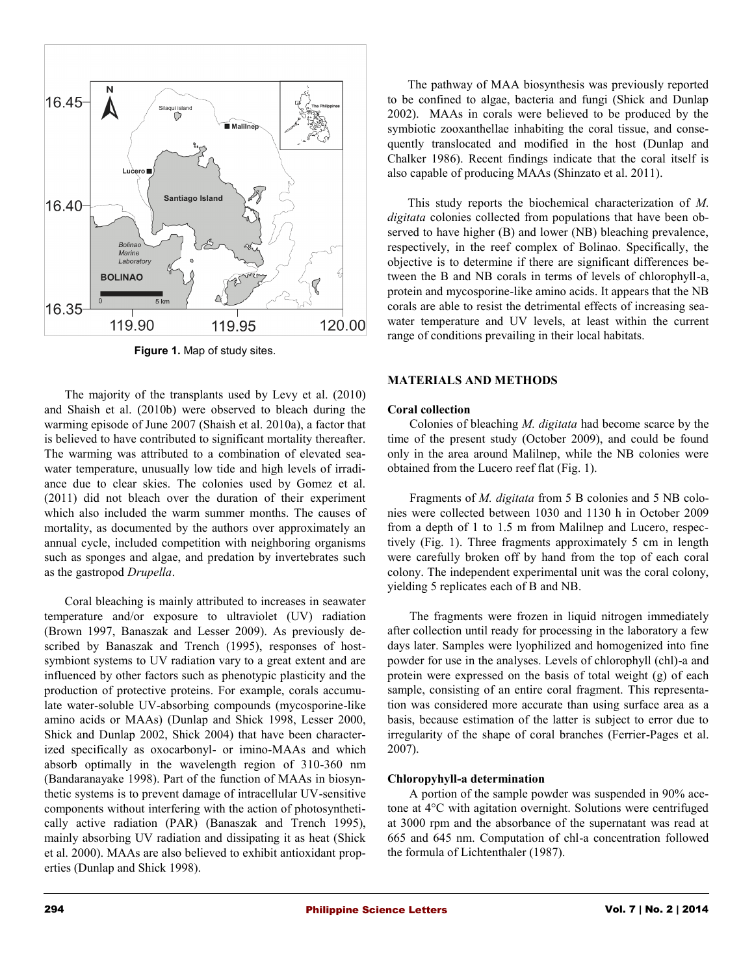

**Figure 1.** Map of study sites.

The majority of the transplants used by Levy et al. (2010) and Shaish et al. (2010b) were observed to bleach during the warming episode of June 2007 (Shaish et al. 2010a), a factor that is believed to have contributed to significant mortality thereafter. The warming was attributed to a combination of elevated seawater temperature, unusually low tide and high levels of irradiance due to clear skies. The colonies used by Gomez et al. (2011) did not bleach over the duration of their experiment which also included the warm summer months. The causes of mortality, as documented by the authors over approximately an annual cycle, included competition with neighboring organisms such as sponges and algae, and predation by invertebrates such as the gastropod *Drupella*.

Coral bleaching is mainly attributed to increases in seawater temperature and/or exposure to ultraviolet (UV) radiation (Brown 1997, Banaszak and Lesser 2009). As previously described by Banaszak and Trench (1995), responses of hostsymbiont systems to UV radiation vary to a great extent and are influenced by other factors such as phenotypic plasticity and the production of protective proteins. For example, corals accumulate water-soluble UV-absorbing compounds (mycosporine-like amino acids or MAAs) (Dunlap and Shick 1998, Lesser 2000, Shick and Dunlap 2002, Shick 2004) that have been characterized specifically as oxocarbonyl- or imino-MAAs and which absorb optimally in the wavelength region of 310-360 nm (Bandaranayake 1998). Part of the function of MAAs in biosynthetic systems is to prevent damage of intracellular UV-sensitive components without interfering with the action of photosynthetically active radiation (PAR) (Banaszak and Trench 1995), mainly absorbing UV radiation and dissipating it as heat (Shick et al. 2000). MAAs are also believed to exhibit antioxidant properties (Dunlap and Shick 1998).

The pathway of MAA biosynthesis was previously reported to be confined to algae, bacteria and fungi (Shick and Dunlap 2002). MAAs in corals were believed to be produced by the symbiotic zooxanthellae inhabiting the coral tissue, and consequently translocated and modified in the host (Dunlap and Chalker 1986). Recent findings indicate that the coral itself is also capable of producing MAAs (Shinzato et al. 2011).

This study reports the biochemical characterization of *M. digitata* colonies collected from populations that have been observed to have higher (B) and lower (NB) bleaching prevalence, respectively, in the reef complex of Bolinao. Specifically, the objective is to determine if there are significant differences between the B and NB corals in terms of levels of chlorophyll-a, protein and mycosporine-like amino acids. It appears that the NB corals are able to resist the detrimental effects of increasing seawater temperature and UV levels, at least within the current range of conditions prevailing in their local habitats.

### **MATERIALS AND METHODS**

#### **Coral collection**

Colonies of bleaching *M. digitata* had become scarce by the time of the present study (October 2009), and could be found only in the area around Malilnep, while the NB colonies were obtained from the Lucero reef flat (Fig. 1).

Fragments of *M. digitata* from 5 B colonies and 5 NB colonies were collected between 1030 and 1130 h in October 2009 from a depth of 1 to 1.5 m from Malilnep and Lucero, respectively (Fig. 1). Three fragments approximately 5 cm in length were carefully broken off by hand from the top of each coral colony. The independent experimental unit was the coral colony, yielding 5 replicates each of B and NB.

The fragments were frozen in liquid nitrogen immediately after collection until ready for processing in the laboratory a few days later. Samples were lyophilized and homogenized into fine powder for use in the analyses. Levels of chlorophyll (chl)-a and protein were expressed on the basis of total weight (g) of each sample, consisting of an entire coral fragment. This representation was considered more accurate than using surface area as a basis, because estimation of the latter is subject to error due to irregularity of the shape of coral branches (Ferrier-Pages et al. 2007).

## **Chloropyhyll-a determination**

A portion of the sample powder was suspended in 90% acetone at 4°C with agitation overnight. Solutions were centrifuged at 3000 rpm and the absorbance of the supernatant was read at 665 and 645 nm. Computation of chl-a concentration followed the formula of Lichtenthaler (1987).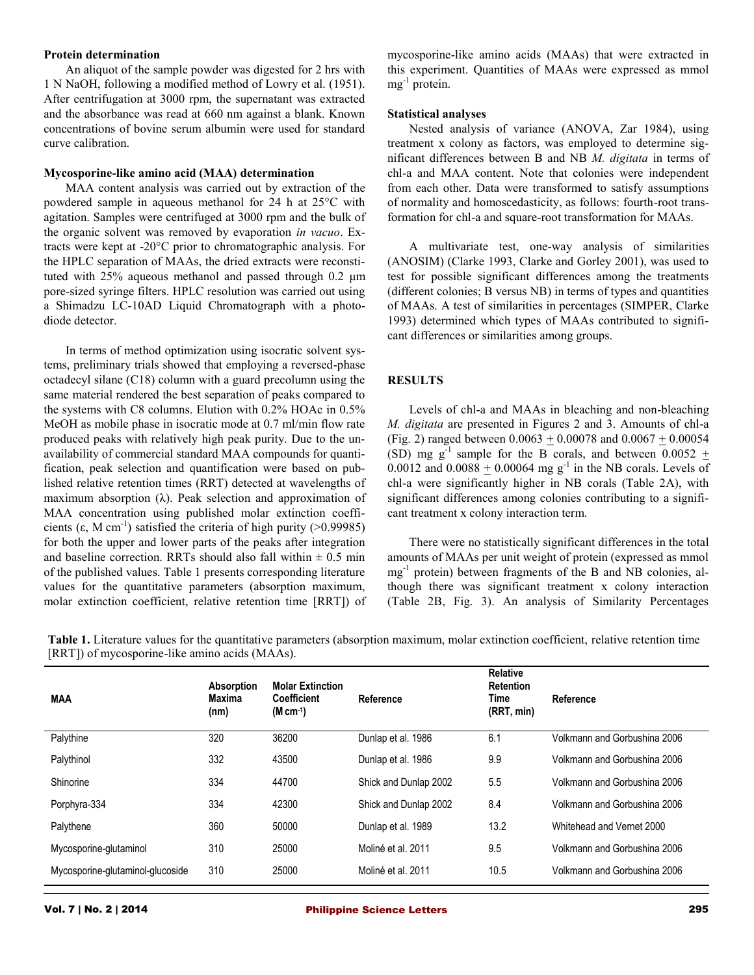#### **Protein determination**

An aliquot of the sample powder was digested for 2 hrs with 1 N NaOH, following a modified method of Lowry et al. (1951). After centrifugation at 3000 rpm, the supernatant was extracted and the absorbance was read at 660 nm against a blank. Known concentrations of bovine serum albumin were used for standard curve calibration.

#### **Mycosporine-like amino acid (MAA) determination**

MAA content analysis was carried out by extraction of the powdered sample in aqueous methanol for 24 h at 25°C with agitation. Samples were centrifuged at 3000 rpm and the bulk of the organic solvent was removed by evaporation *in vacuo*. Extracts were kept at -20°C prior to chromatographic analysis. For the HPLC separation of MAAs, the dried extracts were reconstituted with 25% aqueous methanol and passed through 0.2 μm pore-sized syringe filters. HPLC resolution was carried out using a Shimadzu LC-10AD Liquid Chromatograph with a photodiode detector.

In terms of method optimization using isocratic solvent systems, preliminary trials showed that employing a reversed-phase octadecyl silane (C18) column with a guard precolumn using the same material rendered the best separation of peaks compared to the systems with C8 columns. Elution with 0.2% HOAc in 0.5% MeOH as mobile phase in isocratic mode at 0.7 ml/min flow rate produced peaks with relatively high peak purity. Due to the unavailability of commercial standard MAA compounds for quantification, peak selection and quantification were based on published relative retention times (RRT) detected at wavelengths of maximum absorption (λ). Peak selection and approximation of MAA concentration using published molar extinction coefficients  $(\epsilon, M \text{ cm}^{-1})$  satisfied the criteria of high purity (>0.99985) for both the upper and lower parts of the peaks after integration and baseline correction. RRTs should also fall within  $\pm$  0.5 min of the published values. Table 1 presents corresponding literature values for the quantitative parameters (absorption maximum, molar extinction coefficient, relative retention time [RRT]) of

mycosporine-like amino acids (MAAs) that were extracted in this experiment. Quantities of MAAs were expressed as mmol mg<sup>-1</sup> protein.

#### **Statistical analyses**

Nested analysis of variance (ANOVA, Zar 1984), using treatment x colony as factors, was employed to determine significant differences between B and NB *M. digitata* in terms of chl-a and MAA content. Note that colonies were independent from each other. Data were transformed to satisfy assumptions of normality and homoscedasticity, as follows: fourth-root transformation for chl-a and square-root transformation for MAAs.

A multivariate test, one-way analysis of similarities (ANOSIM) (Clarke 1993, Clarke and Gorley 2001), was used to test for possible significant differences among the treatments (different colonies; B versus NB) in terms of types and quantities of MAAs. A test of similarities in percentages (SIMPER, Clarke 1993) determined which types of MAAs contributed to significant differences or similarities among groups.

#### **RESULTS**

Levels of chl-a and MAAs in bleaching and non-bleaching *M. digitata* are presented in Figures 2 and 3. Amounts of chl-a (Fig. 2) ranged between  $0.0063 \pm 0.00078$  and  $0.0067 \pm 0.00054$ (SD) mg  $g^{-1}$  sample for the B corals, and between 0.0052  $+$ 0.0012 and  $0.0088 \pm 0.00064$  mg g<sup>-1</sup> in the NB corals. Levels of chl-a were significantly higher in NB corals (Table 2A), with significant differences among colonies contributing to a significant treatment x colony interaction term.

There were no statistically significant differences in the total amounts of MAAs per unit weight of protein (expressed as mmol mg-1 protein) between fragments of the B and NB colonies, although there was significant treatment x colony interaction (Table 2B, Fig. 3). An analysis of Similarity Percentages

| <b>MAA</b>                       | <b>Absorption</b><br>Maxima<br>(nm) | <b>Molar Extinction</b><br><b>Coefficient</b><br>$(M cm-1)$ | Reference             | <b>Relative</b><br><b>Retention</b><br>Time<br>(RRT, min) | Reference                    |
|----------------------------------|-------------------------------------|-------------------------------------------------------------|-----------------------|-----------------------------------------------------------|------------------------------|
| Palythine                        | 320                                 | 36200                                                       | Dunlap et al. 1986    | 6.1                                                       | Volkmann and Gorbushina 2006 |
| Palythinol                       | 332                                 | 43500                                                       | Dunlap et al. 1986    | 9.9                                                       | Volkmann and Gorbushina 2006 |
| Shinorine                        | 334                                 | 44700                                                       | Shick and Dunlap 2002 | 5.5                                                       | Volkmann and Gorbushina 2006 |
| Porphyra-334                     | 334                                 | 42300                                                       | Shick and Dunlap 2002 | 8.4                                                       | Volkmann and Gorbushina 2006 |
| Palythene                        | 360                                 | 50000                                                       | Dunlap et al. 1989    | 13.2                                                      | Whitehead and Vernet 2000    |
| Mycosporine-glutaminol           | 310                                 | 25000                                                       | Moliné et al. 2011    | 9.5                                                       | Volkmann and Gorbushina 2006 |
| Mycosporine-glutaminol-glucoside | 310                                 | 25000                                                       | Moliné et al. 2011    | 10.5                                                      | Volkmann and Gorbushina 2006 |
|                                  |                                     |                                                             |                       |                                                           |                              |

**Table 1.** Literature values for the quantitative parameters (absorption maximum, molar extinction coefficient, relative retention time [RRT]) of mycosporine-like amino acids (MAAs).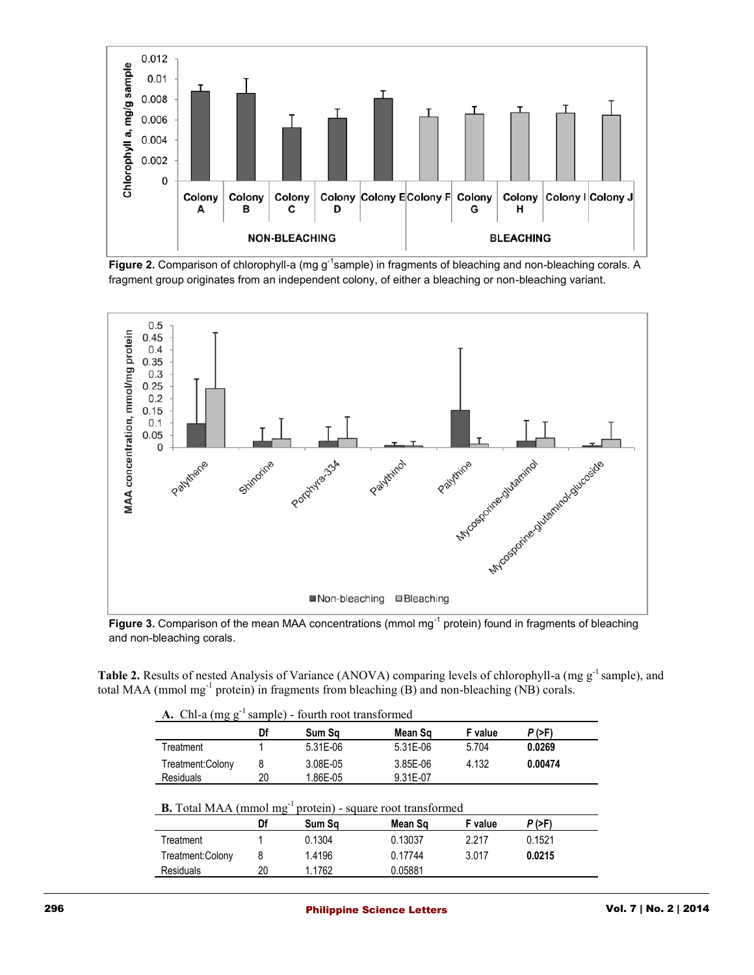

Figure 2. Comparison of chlorophyll-a (mg g<sup>-1</sup>sample) in fragments of bleaching and non-bleaching corals. A fragment group originates from an independent colony, of either a bleaching or non-bleaching variant.



Figure 3. Comparison of the mean MAA concentrations (mmol mg<sup>-1</sup> protein) found in fragments of bleaching and non-bleaching corals.

**Table 2.** Results of nested Analysis of Variance (ANOVA) comparing levels of chlorophyll-a (mg g<sup>-1</sup> sample), and total MAA (mmol mg<sup>-1</sup> protein) in fragments from bleaching  $(B)$  and non-bleaching  $(NB)$  corals.

|  |  |  |  |  | <b>A.</b> Chl-a $(mg g^{-1}$ sample) - fourth root transformed |
|--|--|--|--|--|----------------------------------------------------------------|
|--|--|--|--|--|----------------------------------------------------------------|

| .                |    |            |            |         |               |  |
|------------------|----|------------|------------|---------|---------------|--|
|                  | Df | Sum Sq     | Mean Sq    | F value | <i>P</i> (>F) |  |
| Treatment        |    | $5.31F-06$ | $5.31F-06$ | 5.704   | 0.0269        |  |
| Treatment:Colony |    | 3.08E-05   | 3.85E-06   | 4.132   | 0.00474       |  |
| <b>Residuals</b> | 20 | 1.86E-05   | 9.31E-07   |         |               |  |

| <b>B.</b> Total MAA (mmol $mg^{-1}$ protein) - square root transformed |  |  |
|------------------------------------------------------------------------|--|--|
|                                                                        |  |  |

| $\mathbf{D}$ . Tom $\mathbf{m}$ $\mathbf{m}$ is a sequence of $\mathbf{m}$<br>$\log$ aar $\sigma$ root transformed |    |        |         |         |        |  |
|--------------------------------------------------------------------------------------------------------------------|----|--------|---------|---------|--------|--|
|                                                                                                                    | Df | Sum Sa | Mean Sɑ | F value | P (>F) |  |
| Treatment                                                                                                          |    | 0.1304 | 0.13037 | 2.217   | 0.1521 |  |
| Treatment:Colony                                                                                                   |    | 1.4196 | 0.17744 | 3.017   | 0.0215 |  |
| Residuals                                                                                                          | 20 | 1.1762 | 0.05881 |         |        |  |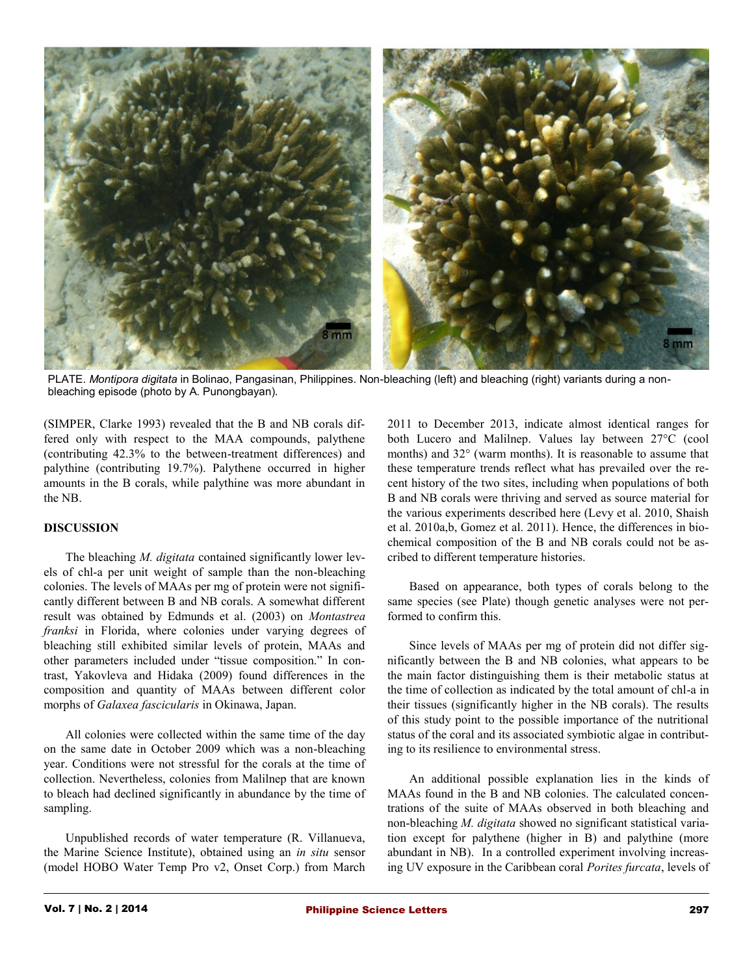

PLATE. *Montipora digitata* in Bolinao, Pangasinan, Philippines. Non-bleaching (left) and bleaching (right) variants during a nonbleaching episode (photo by A. Punongbayan).

(SIMPER, Clarke 1993) revealed that the B and NB corals differed only with respect to the MAA compounds, palythene (contributing 42.3% to the between-treatment differences) and palythine (contributing 19.7%). Palythene occurred in higher amounts in the B corals, while palythine was more abundant in the NB.

# **DISCUSSION**

The bleaching *M. digitata* contained significantly lower levels of chl-a per unit weight of sample than the non-bleaching colonies. The levels of MAAs per mg of protein were not significantly different between B and NB corals. A somewhat different result was obtained by Edmunds et al. (2003) on *Montastrea franksi* in Florida, where colonies under varying degrees of bleaching still exhibited similar levels of protein, MAAs and other parameters included under "tissue composition." In contrast, Yakovleva and Hidaka (2009) found differences in the composition and quantity of MAAs between different color morphs of *Galaxea fascicularis* in Okinawa, Japan.

All colonies were collected within the same time of the day on the same date in October 2009 which was a non-bleaching year. Conditions were not stressful for the corals at the time of collection. Nevertheless, colonies from Malilnep that are known to bleach had declined significantly in abundance by the time of sampling.

Unpublished records of water temperature (R. Villanueva, the Marine Science Institute), obtained using an *in situ* sensor (model HOBO Water Temp Pro v2, Onset Corp.) from March 2011 to December 2013, indicate almost identical ranges for both Lucero and Malilnep. Values lay between 27°C (cool months) and 32° (warm months). It is reasonable to assume that these temperature trends reflect what has prevailed over the recent history of the two sites, including when populations of both B and NB corals were thriving and served as source material for the various experiments described here (Levy et al. 2010, Shaish et al. 2010a,b, Gomez et al. 2011). Hence, the differences in biochemical composition of the B and NB corals could not be ascribed to different temperature histories.

Based on appearance, both types of corals belong to the same species (see Plate) though genetic analyses were not performed to confirm this.

Since levels of MAAs per mg of protein did not differ significantly between the B and NB colonies, what appears to be the main factor distinguishing them is their metabolic status at the time of collection as indicated by the total amount of chl-a in their tissues (significantly higher in the NB corals). The results of this study point to the possible importance of the nutritional status of the coral and its associated symbiotic algae in contributing to its resilience to environmental stress.

An additional possible explanation lies in the kinds of MAAs found in the B and NB colonies. The calculated concentrations of the suite of MAAs observed in both bleaching and non-bleaching *M. digitata* showed no significant statistical variation except for palythene (higher in B) and palythine (more abundant in NB). In a controlled experiment involving increasing UV exposure in the Caribbean coral *Porites furcata*, levels of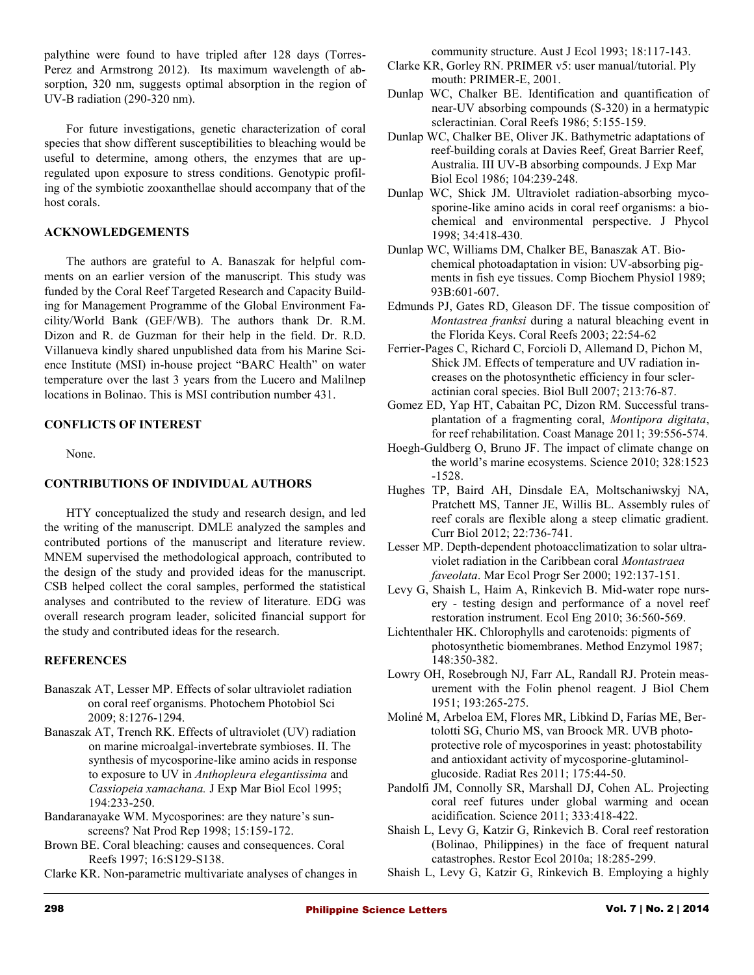palythine were found to have tripled after 128 days (Torres-Perez and Armstrong 2012). Its maximum wavelength of absorption, 320 nm, suggests optimal absorption in the region of UV-B radiation (290-320 nm).

For future investigations, genetic characterization of coral species that show different susceptibilities to bleaching would be useful to determine, among others, the enzymes that are upregulated upon exposure to stress conditions. Genotypic profiling of the symbiotic zooxanthellae should accompany that of the host corals.

# **ACKNOWLEDGEMENTS**

The authors are grateful to A. Banaszak for helpful comments on an earlier version of the manuscript. This study was funded by the Coral Reef Targeted Research and Capacity Building for Management Programme of the Global Environment Facility/World Bank (GEF/WB). The authors thank Dr. R.M. Dizon and R. de Guzman for their help in the field. Dr. R.D. Villanueva kindly shared unpublished data from his Marine Science Institute (MSI) in-house project "BARC Health" on water temperature over the last 3 years from the Lucero and Malilnep locations in Bolinao. This is MSI contribution number 431.

# **CONFLICTS OF INTEREST**

None.

# **CONTRIBUTIONS OF INDIVIDUAL AUTHORS**

HTY conceptualized the study and research design, and led the writing of the manuscript. DMLE analyzed the samples and contributed portions of the manuscript and literature review. MNEM supervised the methodological approach, contributed to the design of the study and provided ideas for the manuscript. CSB helped collect the coral samples, performed the statistical analyses and contributed to the review of literature. EDG was overall research program leader, solicited financial support for the study and contributed ideas for the research.

# **REFERENCES**

- Banaszak AT, Lesser MP. Effects of solar ultraviolet radiation on coral reef organisms. Photochem Photobiol Sci 2009; 8:1276-1294.
- Banaszak AT, Trench RK. Effects of ultraviolet (UV) radiation on marine microalgal-invertebrate symbioses. II. The synthesis of mycosporine-like amino acids in response to exposure to UV in *Anthopleura elegantissima* and *Cassiopeia xamachana.* J Exp Mar Biol Ecol 1995; 194:233-250.
- Bandaranayake WM. Mycosporines: are they nature's sunscreens? Nat Prod Rep 1998; 15:159-172.
- Brown BE. Coral bleaching: causes and consequences. Coral Reefs 1997; 16:S129-S138.
- Clarke KR. Non-parametric multivariate analyses of changes in

community structure. Aust J Ecol 1993; 18:117-143.

- Clarke KR, Gorley RN. PRIMER v5: user manual/tutorial. Ply mouth: PRIMER-E, 2001.
- Dunlap WC, Chalker BE. Identification and quantification of near-UV absorbing compounds (S-320) in a hermatypic scleractinian. Coral Reefs 1986; 5:155-159.
- Dunlap WC, Chalker BE, Oliver JK. Bathymetric adaptations of reef-building corals at Davies Reef, Great Barrier Reef, Australia. III UV-B absorbing compounds. J Exp Mar Biol Ecol 1986; 104:239-248.
- Dunlap WC, Shick JM. Ultraviolet radiation-absorbing mycosporine-like amino acids in coral reef organisms: a biochemical and environmental perspective. J Phycol 1998; 34:418-430.
- Dunlap WC, Williams DM, Chalker BE, Banaszak AT. Biochemical photoadaptation in vision: UV-absorbing pigments in fish eye tissues. Comp Biochem Physiol 1989; 93B:601-607.
- Edmunds PJ, Gates RD, Gleason DF. The tissue composition of *Montastrea franksi* during a natural bleaching event in the Florida Keys. Coral Reefs 2003; 22:54-62
- Ferrier-Pages C, Richard C, Forcioli D, Allemand D, Pichon M, Shick JM. Effects of temperature and UV radiation increases on the photosynthetic efficiency in four scleractinian coral species. Biol Bull 2007; 213:76-87.
- Gomez ED, Yap HT, Cabaitan PC, Dizon RM. Successful transplantation of a fragmenting coral, *Montipora digitata*, for reef rehabilitation. Coast Manage 2011; 39:556-574.
- Hoegh-Guldberg O, Bruno JF. The impact of climate change on the world's marine ecosystems. Science 2010; 328:1523 -1528.
- Hughes TP, Baird AH, Dinsdale EA, Moltschaniwskyj NA, Pratchett MS, Tanner JE, Willis BL. Assembly rules of reef corals are flexible along a steep climatic gradient. Curr Biol 2012; 22:736-741.
- Lesser MP. Depth-dependent photoacclimatization to solar ultraviolet radiation in the Caribbean coral *Montastraea faveolata*. Mar Ecol Progr Ser 2000; 192:137-151.
- Levy G, Shaish L, Haim A, Rinkevich B. Mid-water rope nursery - testing design and performance of a novel reef restoration instrument. Ecol Eng 2010; 36:560-569.
- Lichtenthaler HK. Chlorophylls and carotenoids: pigments of photosynthetic biomembranes. Method Enzymol 1987; 148:350-382.
- Lowry OH, Rosebrough NJ, Farr AL, Randall RJ. Protein measurement with the Folin phenol reagent. J Biol Chem 1951; 193:265-275.
- Moliné M, Arbeloa EM, Flores MR, Libkind D, Farías ME, Bertolotti SG, Churio MS, van Broock MR. UVB photoprotective role of mycosporines in yeast: photostability and antioxidant activity of mycosporine-glutaminolglucoside. Radiat Res 2011; 175:44-50.
- Pandolfi JM, Connolly SR, Marshall DJ, Cohen AL. Projecting coral reef futures under global warming and ocean acidification. Science 2011; 333:418-422.
- Shaish L, Levy G, Katzir G, Rinkevich B. Coral reef restoration (Bolinao, Philippines) in the face of frequent natural catastrophes. Restor Ecol 2010a; 18:285-299.
- Shaish L, Levy G, Katzir G, Rinkevich B. Employing a highly